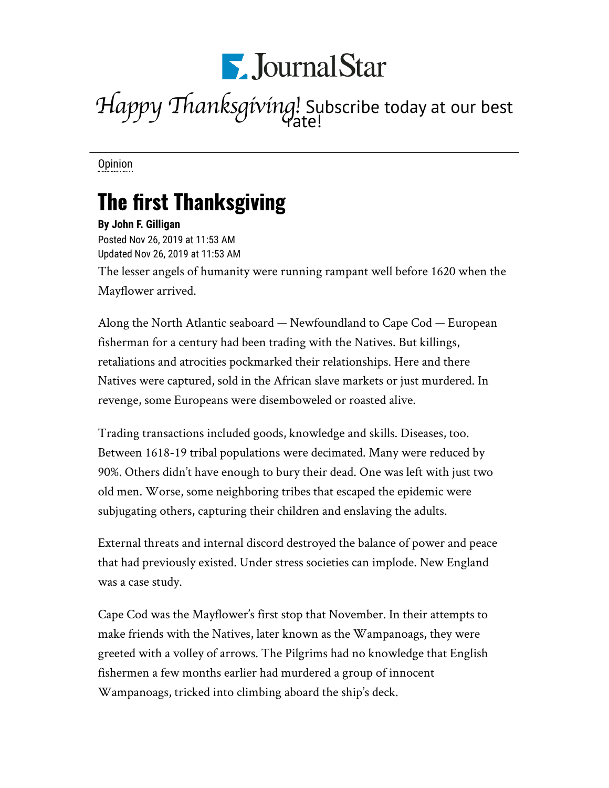

## *Happy Thanksgiving!* Subscribe today at our best rate!

[Opinion](https://www.pjstar.com/search?text=Opinion)

## The first Thanksgiving

**By John F. Gilligan** Posted Nov 26, 2019 at 11:53 AM Updated Nov 26, 2019 at 11:53 AM The lesser angels of humanity were running rampant well before 1620 when the Mayflower arrived.

Along the North Atlantic seaboard — Newfoundland to Cape Cod — European fisherman for a century had been trading with the Natives. But killings, retaliations and atrocities pockmarked their relationships. Here and there Natives were captured, sold in the African slave markets or just murdered. In revenge, some Europeans were disemboweled or roasted alive.

Trading transactions included goods, knowledge and skills. Diseases, too. Between 1618-19 tribal populations were decimated. Many were reduced by 90%. Others didn't have enough to bury their dead. One was left with just two old men. Worse, some neighboring tribes that escaped the epidemic were subjugating others, capturing their children and enslaving the adults.

External threats and internal discord destroyed the balance of power and peace that had previously existed. Under stress societies can implode. New England was a case study.

Cape Cod was the Mayflower's first stop that November. In their attempts to make friends with the Natives, later known as the Wampanoags, they were greeted with a volley of arrows. The Pilgrims had no knowledge that English fishermen a few months earlier had murdered a group of innocent Wampanoags, tricked into climbing aboard the ship's deck.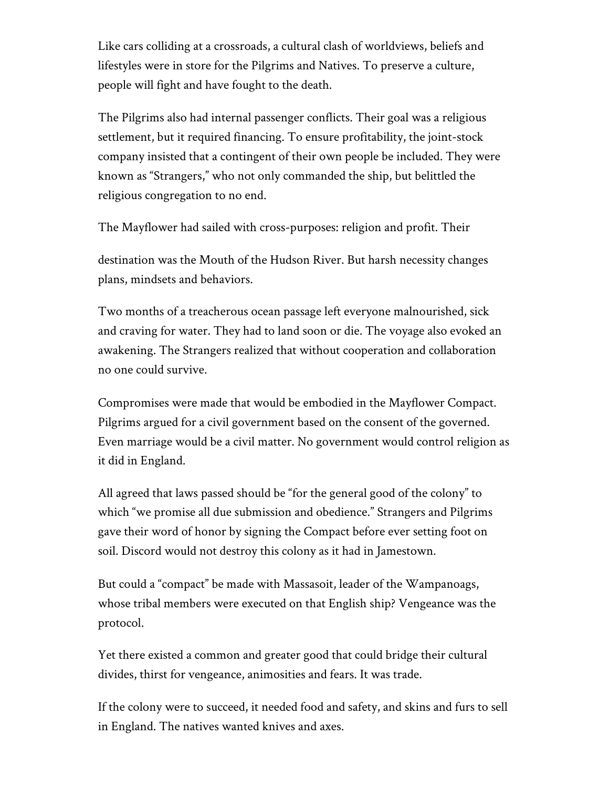Like cars colliding at a crossroads, a cultural clash of worldviews, beliefs and lifestyles were in store for the Pilgrims and Natives. To preserve a culture, people will fight and have fought to the death.

The Pilgrims also had internal passenger conflicts. Their goal was a religious settlement, but it required financing. To ensure profitability, the joint-stock company insisted that a contingent of their own people be included. They were known as "Strangers," who not only commanded the ship, but belittled the religious congregation to no end.

The Mayflower had sailed with cross-purposes: religion and profit. Their

destination was the Mouth of the Hudson River. But harsh necessity changes plans, mindsets and behaviors.

Two months of a treacherous ocean passage left everyone malnourished, sick and craving for water. They had to land soon or die. The voyage also evoked an awakening. The Strangers realized that without cooperation and collaboration no one could survive.

Compromises were made that would be embodied in the Mayflower Compact. Pilgrims argued for a civil government based on the consent of the governed. Even marriage would be a civil matter. No government would control religion as it did in England.

All agreed that laws passed should be "for the general good of the colony" to which "we promise all due submission and obedience." Strangers and Pilgrims gave their word of honor by signing the Compact before ever setting foot on soil. Discord would not destroy this colony as it had in Jamestown.

But could a "compact" be made with Massasoit, leader of the Wampanoags, whose tribal members were executed on that English ship? Vengeance was the protocol.

Yet there existed a common and greater good that could bridge their cultural divides, thirst for vengeance, animosities and fears. It was trade.

If the colony were to succeed, it needed food and safety, and skins and furs to sell in England. The natives wanted knives and axes.